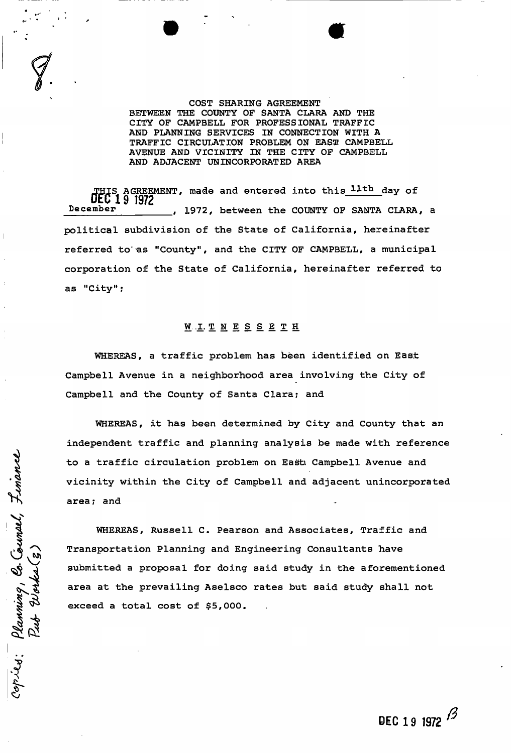### COST SHARING AGREEMENT BETWEEN THE COUNTY OF SANTA CLARA AND THE CITY OF CAMPBELL FOR PROFESSIONAL TRAFFIC AND PLANNING SERVICES IN CONNECTION WITH A TRAFFIC CIRCULATION PROBLEM ON EASE CAMPBELL AVENUE AND VICINITY IN THE CITY OF CAMPBELL AND ADJACENT UNINCORPORATED AREA

THIS AGREEMENT, made and entered into this lith day of THIS AGREEM<br>December  $\overline{\phantom{a}}$  ,  $\overline{\phantom{a}}$  ,  $\overline{\phantom{a}}$  ,  $\overline{\phantom{a}}$  ,  $\overline{\phantom{a}}$  ,  $\overline{\phantom{a}}$  ,  $\overline{\phantom{a}}$  ,  $\overline{\phantom{a}}$  ,  $\overline{\phantom{a}}$  ,  $\overline{\phantom{a}}$  ,  $\overline{\phantom{a}}$  ,  $\overline{\phantom{a}}$  ,  $\overline{\phantom{a}}$  ,  $\overline{\phantom{a}}$  ,  $\overline{\phantom{a}}$  ,  $\overline{\phantom{a}}$ political subdivision of the State of California, hereinafter referred to'as "County", and the CITY OF CAMPBELL, a municipal corporation of the State of California, hereinafter referred to as "City";

# **W . I . T N E S S E E T H**

WHEREAS, a traffic problem has been identified on East Campbell Avenue in a neighborhood area involving the City of Campbell and the County of Santa Clara; and

WHEREAS, it has been determined by City and County that an independent traffic and planning analysis be made with reference to a traffic circulation problem on East Campbell Avenue and vicinity within the City of Campbell and adjacent unincorporated area; and

WHEREAS, Russell C. Pearson and Associates, Traffic and Transportation Planning and Engineering Consultants have submitted a proposal for doing said study in the aforementioned area at the prevailing Aselsco rates but said study shall not exceed a total cost of \$5,000.

Copies: Planming, Co. Countel, Finance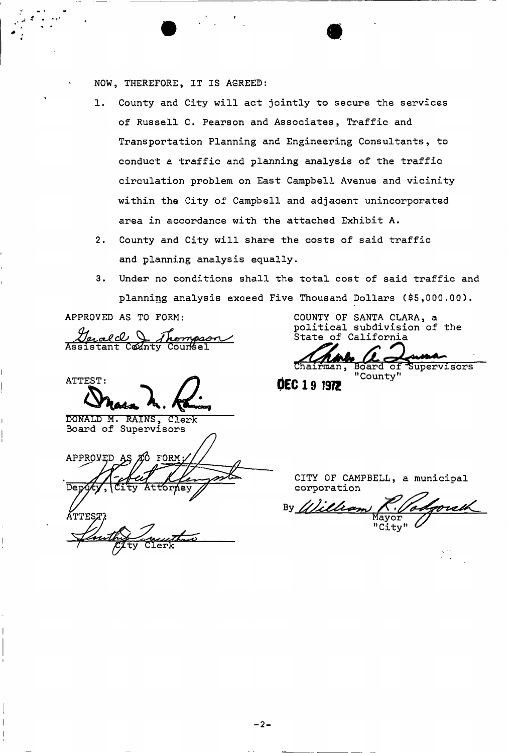NOW , THEREFORE, IT IS AGREED:

- 1. County and City will act jointly to secure the services of Russell C. Pearson and Associates, Traffic and Transportation Planning and Engineering Consultants, to conduct a traffic and planning analysis of the traffic circulation problem on East Campbell Avenue and vicinity within the City of Campbell and adjacent unincorporated area in accordance with the attached Exhibit A.
- 2. County and City will share the costs of said traffic and planning analysis equally.
- 3. Under no conditions shall the total cost of said traffic and planning analysis exceed Five Thousand Dollars (\$5,000.00).

APPROVED AS TO FORM:

<u>Derald & Thompson</u><br>Assistant County Counsel

ATTEST:

**B0MALD M . RAINS, Clerk**  Board of Supervisors

APPROVED FORM **AS** Ω **ÁTTEST?** 

COUNTY OF SANTA CLARA, a political subdivision of the State of California

Board of Supervisors "County  $\overline{\text{of}}$ 

DEC 19 1972

CITY OF CAMPBELL, a municipal corporation

William By orew Mayor "City"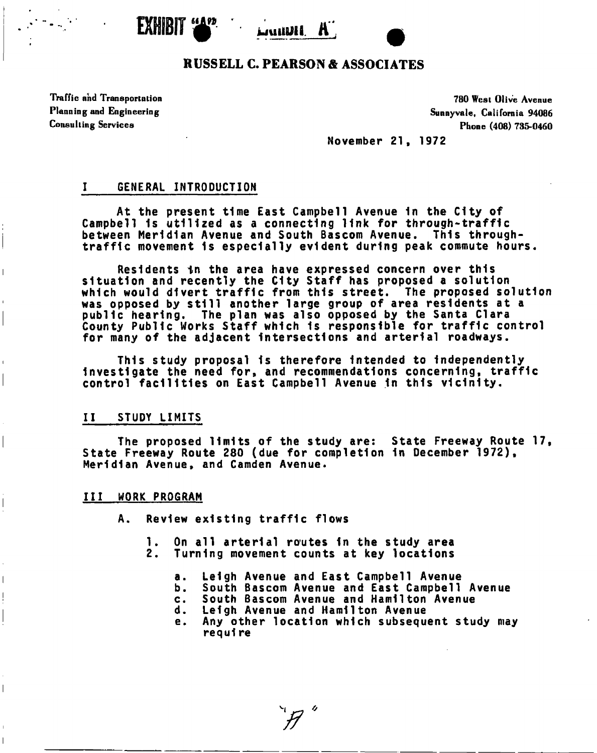



# **RUSSELL C. PEARSON & ASSOCIATES**

Traffic and Transportation 780 West Olive Avenue

Planning and Engineering Sunnyvale, California 94086 Consulting Services Phone (408) 735-0460

**November 21, 1972** 

# **I GENERAL INTRODUCTION**

**At the present time East Campbell Avenue 1n the City of Campbell Is utilized as a connecting link for through-traff1c between Meridian Avenue and South Bascom Avenue. This throughtraffic movement 1s especially evident during peak commute hours.** 

**Residents in the area have expressed concern over this situation and recently the City Staff has proposed a solution which would divert traffic from this street. The proposed solution was opposed by still another large group of area residents at a public hearing. The plan was also opposed by the Santa Clara County Public Works Staff which Is responsible for traffic control for many of the adjacent Intersections and arterial roadways.** 

**This study proposal 1s therefore Intended to Independently Investigate the need for, and recommendations concerning, traffic control facilities on East Campbell Avenue 1n this vicinity.** 

### **II STUDY LIMITS**

**The proposed limits of the study are: State Freeway Route 17, State Freeway Route 280 (due for completion 1n December 1972), Meridian Avenue, and Camden Avenue.** 

#### **Ill WORK PROGRAM**

I

**A. Review existing traffic flows** 

- **1. On all arterial routes In the study area**
- **2. Turning movement counts at key locations** 
	- **a. Leigh Avenue and East Campbell Avenue**
	- **b. South Bascom Avenue and East Campbell Avenue**
	- **c. South Bascom Avenue and Hamilton Avenue**
	- **d. Leigh Avenue and Hamilton Avenue**
	- **e. Any other location which subsequent study may requl re**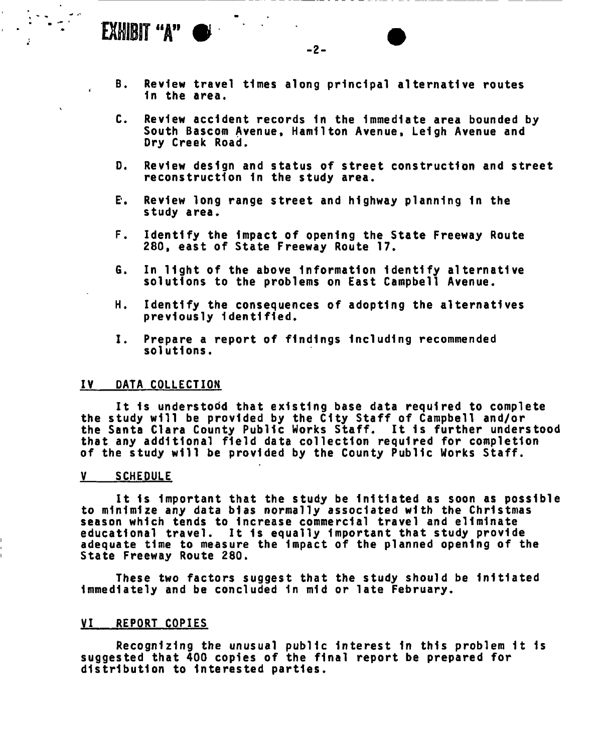# EXHIBIT "A"  $\bullet$

 $-2-$ 

- **B. Review travel times along principal alternative routes In the area.**
- **C. Review accident records In the Immediate area bounded by South Bascom Avenue, Hamilton Avenue , Leigh Avenue and Dry Creek Road.**
- **D. Review design and status of street construction and street reconstruction 1n the study area.**
- **E\*. Review long range street and highway planning 1n the study area.**
- **F. Identify the Impact of opening the State Freeway Route 280, east of State Freeway Route 17.**
- **6. In light of the above Information Identify alternative solutions to the problems on East Campbell Avenue.**
- **H. Identify the consequences of adopting the alternatives previously Identified.**
- **I. Prepare a report of findings Including recommended solutions.**

#### **IV DATA COLLECTION**

**It 1s understood that existing base data required to complete the study will be provided by the City Staff of Campbell and/or the Santa Clara County Public Works Staff. It 1s further understood that any additional field data collection required for completion of the study will be provided by the County Public Works Staff.** 

#### **V SCHEDULE**

**It Is Important that the study be Initiated as soon as possible to minimize any data bias normally associated with the Christmas season which tends to Increase commercial travel and eliminate educational travel. It 1s equally Important that study provide adequate time to measure the Impact of the planned opening of the State Freeway Route 280.** 

**These two factors suggest that the study should be Initiated Immediately and be concluded 1n mid or late February.** 

## **VI REPORT COPIES**

**Recognizing the unusual public Interest 1n this problem 1t 1s suggested that 400 copies of the final report be prepared for distribution to Interested parties.**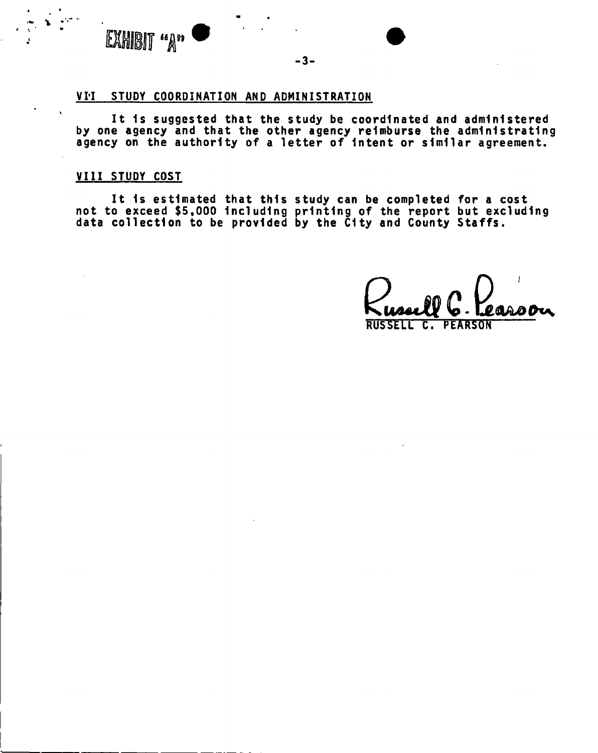

#### **-3-**

# **VII STUDY COORDINATION AND ADMINISTRATION**

**It 1s suggested that the study be coordinated and administered by one agency and that the other agency reimburse the administrating agency on the authority of a letter of Intent or similar agreement.** 

### **VIII STUDY COST**

**It 1s estimated that this study can be completed for a cost not to exceed \$5,000 Including printing of the report but excluding data collection to be provided by the City and County Staffs.** 

**RUSSELL C. PEARSON**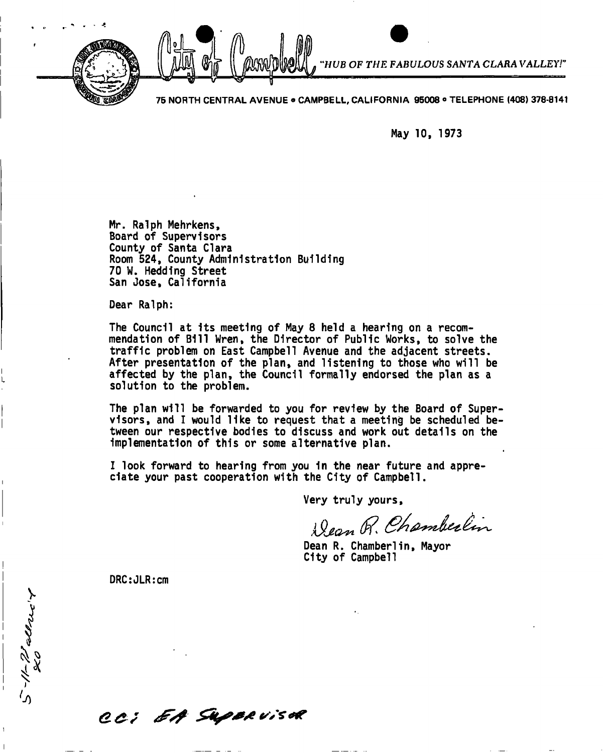

*HUB OF THE FABULOUS SANTA CLARAVALLEY!'* 

**75 NORTH CENTRAL AVENUE ® CAMPBELL, CALIFORNIA 95008 o TELEPHONE (408) 378-8141** 

**May 10, 1973** 

**Mr. Ralph Mehrkens, Board of Supervisors County of Santa Clara Room 524, County Administration Building 70 W. Heddlng Street San Jose, California** 

**Dear Ralph:** 

**The Council at Its meeting of May 8 held a hearing on a recommendation of Bill Wren, the Director of Public Works, to solve the traffic problem on East Campbell Avenue and the adjacent streets-After presentation of the plan, and listening to those who will be affected by the plan, the Council formally endorsed the plan as a solution to the problem.** 

**The plan will be forwarded to you for review by the Board of Supervisors, and I would like to request that a meeting be scheduled between our respective bodies to discuss and work out details on the implementation of this or some alternative plan.** 

**I look forward to hearing from you in the near future and appreciate your past cooperation with the City of Campbell.** 

**Very truly yours** 

Dean R. Chamberlin

**Dean R. Chamberlin, Mayor City of Campbell** 

**DRC:JLR:cm** 

5-11-72 all 240'T

CC; EA Superviser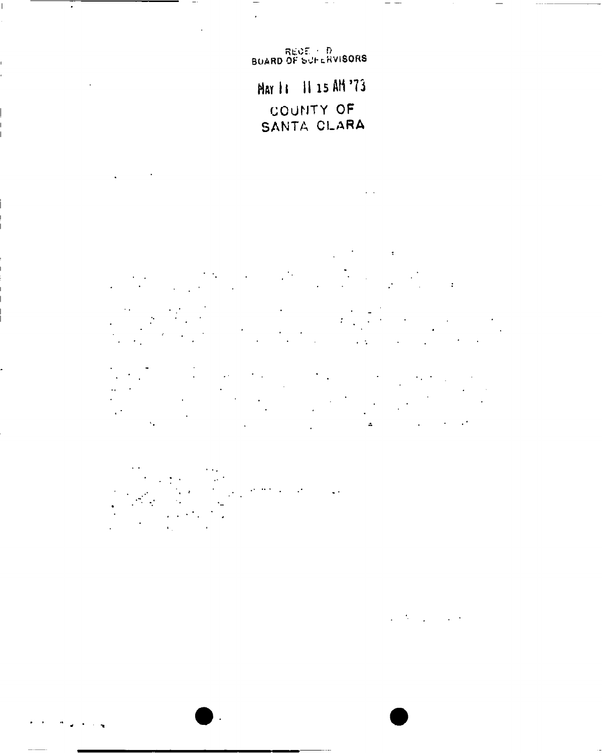REDE - D<br>BUARD OF SUFERVISORS

 $\ddot{\phantom{0}}$ 

 $\overline{a}$ 

 $\sim 10^{11}$  km  $^{-1}$ 

 $\ddot{\phantom{a}}$ 

May 11 11 15 AM '73 COUNTY OF SANTA CLARA

 $\mathbf{L}$ 

 $\mathcal{O}(\mathcal{O}(\log n))$  .  $\mathcal{L}$  $\label{eq:2} \frac{1}{2} \int_{\mathbb{R}^3} \frac{1}{\sqrt{2}} \, \mathrm{d} \mu \, \mathrm{d} \mu \, \mathrm{d} \mu \, \mathrm{d} \mu \, \mathrm{d} \mu \, \mathrm{d} \mu \, \mathrm{d} \mu \, \mathrm{d} \mu \, \mathrm{d} \mu \, \mathrm{d} \mu \, \mathrm{d} \mu \, \mathrm{d} \mu \, \mathrm{d} \mu \, \mathrm{d} \mu \, \mathrm{d} \mu \, \mathrm{d} \mu \, \mathrm{d} \mu \, \mathrm{d} \mu \, \mathrm{d} \mu \, \mathrm{d} \mu \, \mathrm$ 

 $\mathcal{A} \subset \mathcal{A}$  $\sim 100$ 

 $\sim 1$  $\mathcal{L}^{\text{max}}_{\text{max}}$  and  $\mathcal{L}^{\text{max}}_{\text{max}}$  $\epsilon_{\rm{max}}$  $\mathcal{F}_{\mathcal{A}}$  $\sim 10^{11}$  m  $^{-1}$  $\mathcal{L}^{\text{max}}_{\text{max}}$  $\hat{\mathbf{z}}$  $\hat{\mathbf{v}}_i$  $\mathcal{L}^{\text{max}}(\mathcal{L}^{\text{max}})$ 

 $\alpha \in \mathbb{Z}^n$  $\mathcal{O}(\mathcal{O}_\mathcal{O})$  . The  $\mathcal{O}_\mathcal{O}(\mathcal{O}_\mathcal{O})$  $\mathcal{L}^{\text{max}}$ 

> $\mathcal{A}=\mathcal{A}$  .  $\mathcal{L}^{\mathcal{L}^{\prime}}$  .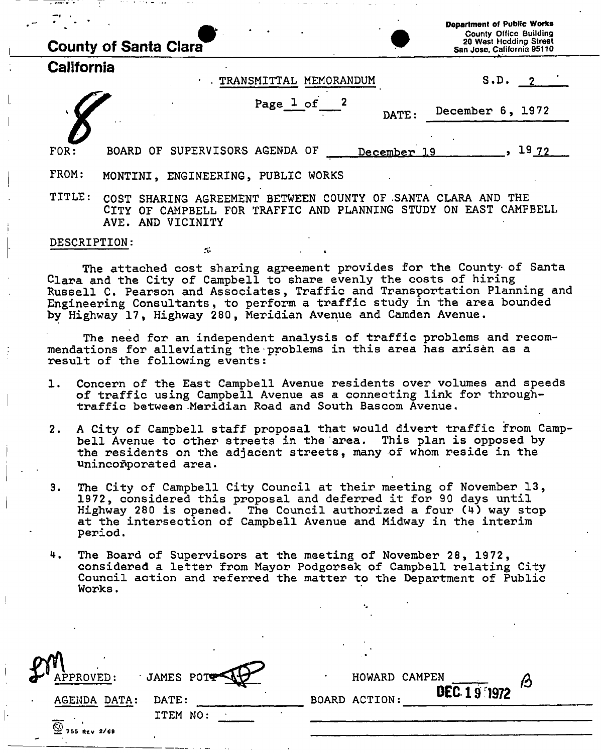|                     | <b>County of Santa Clara</b>                                                                                                                    |             | <b>Department of Public Works</b><br><b>County Office Building</b><br>20 West Hodding Street<br>San Jose, California 95110 |
|---------------------|-------------------------------------------------------------------------------------------------------------------------------------------------|-------------|----------------------------------------------------------------------------------------------------------------------------|
| <b>California</b>   | TRANSMITTAL MEMORANDUM                                                                                                                          |             | S.D.<br>$\overline{2}$                                                                                                     |
|                     | Page 1 of                                                                                                                                       | DATE:       | December 6, 1972                                                                                                           |
| FOR:                | BOARD OF SUPERVISORS AGENDA OF                                                                                                                  | December 19 | 19 72                                                                                                                      |
| FROM:               | MONTINI, ENGINEERING, PUBLIC WORKS                                                                                                              |             |                                                                                                                            |
| TITLE:              | SHARING AGREEMENT BETWEEN COUNTY OF SANTA CLARA AND THE<br>COST.<br>OF CAMPBELL FOR TRAFFIC AND PLANNING<br><b>CITY</b><br>AND VICINITY<br>AVE. | STUDY       | <b>EAST CAMPBELL</b><br>ON.                                                                                                |
| <b>DESCRIPTION:</b> | $\mathcal{L}$                                                                                                                                   |             |                                                                                                                            |

The attached cost sharing agreement provides for the County of Santa Clara and the City of Campbell to share evenly the costs of hiring Russell C. Pearson and Associates, Traffic and Transportation Planning and Engineering Consultants, to perform a traffic study in the area bounded by Highway 17, Highway 280, Meridian Avenue and Camden Avenue.

The need for an independent analysis of traffic problems and recommendations for alleviating the problems in this area has arisen as a result of the following events:

- 1. Concern of the East Campbell Avenue residents over volumes and speeds of traffic using Campbell Avenue as a connecting link for throughtraffic between Meridian Road and South Bascom Avenue.
- 2. A City of Campbell staff proposal that would divert traffic from Campbell Avenue to other streets in the area. This plan is opposed by the residents on the adjacent streets, many of whom reside in the unincoñporated area.
- 3. The City of Campbell City Council at their meeting of November 13, 1972, considered this proposal and deferred it for 90 days until Highway 280 is opened. The Council authorized a four  $(4)$  way stop at the intersection of Campbell Avenue and Midway in the interim period .
- 4. The Board of Supervisors at the meeting of November 28, 1972, considered a letter from Mayor Podgorsek of Campbell relating City Council action and referred the matter to the Department of Public Works .

| APPROVED:                          | JAMES POTT | HOWARD CAMPEN |                          |  |
|------------------------------------|------------|---------------|--------------------------|--|
| AGENDA DATA:                       | DATE:      | BOARD ACTION: | $\overline{$ DEC 19 1972 |  |
| $\overline{\bigcirc}$ 755 REV 2/69 | ITEM NO:   |               |                          |  |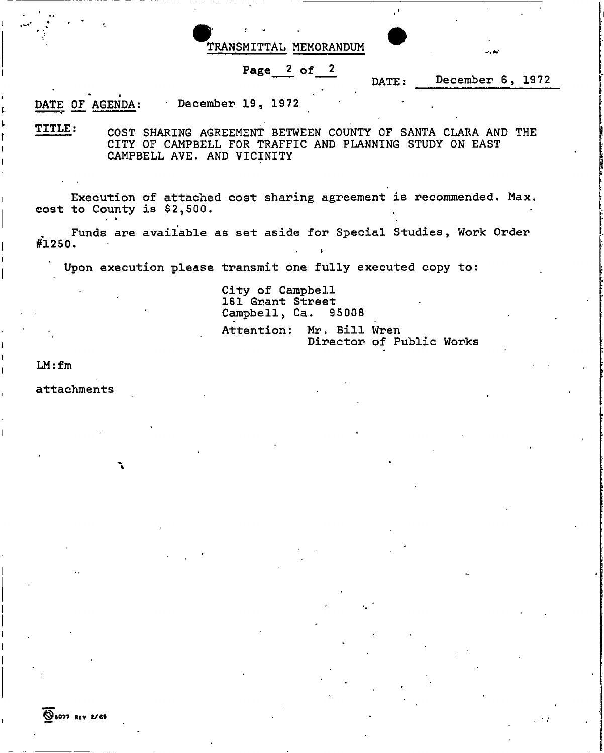TRANSMITTAL MEMORANDUM

# Page 2 of 2

DATE: December 6, 1972

DATE OF AGENDA: December 19, 1972

TITLE : COST SHARING AGREEMENT BETWEEN COUNTY OF SANTA CLARA AND THE CITY OF CAMPBELL FOR TRAFFIC AND PLANNING STUDY ON EAST CAMPBELL AVE. AND VICINITY

Execution of attached cost sharing agreement is recommended. Max. cost to County is  $$2,500.$ 

Funds are available as set aside for Special Studies, Work Order #1250 .

Upon execution please transmit one fully executed copy to:

City of Campbell 161 Grant Street Campbell, Ca. 95008 Attention: Mr. Bill Wren Director of Public Works

»

LM: fm

attachments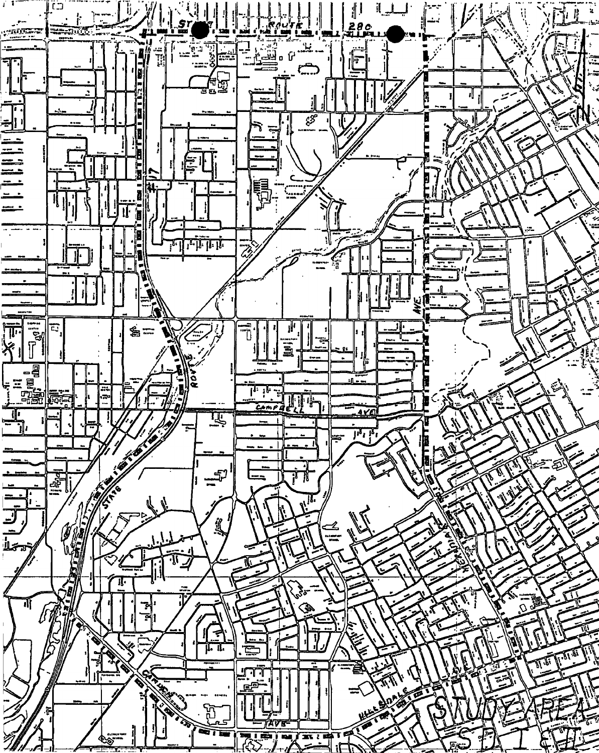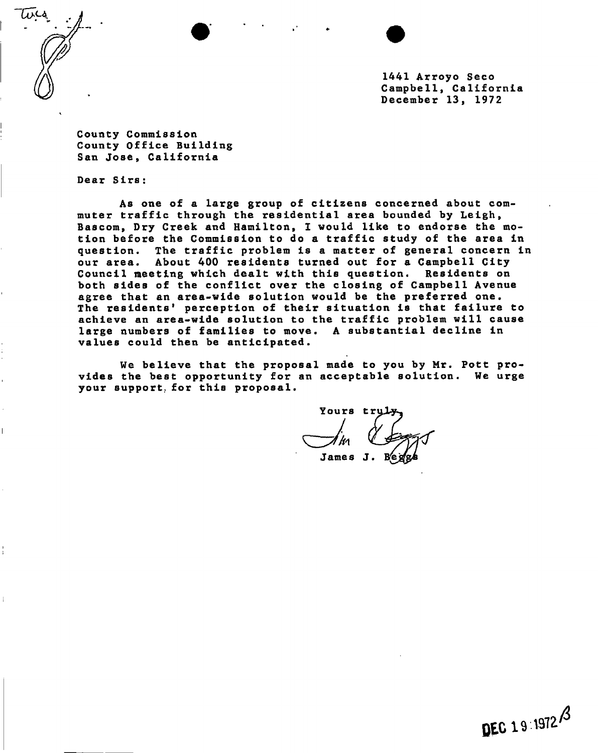$\omega$   $\sim$ 

1441 Arroyo Seco Campbe11, California December 13, 1972

County Commission County Office Building San Jose, California

Dear Sirs:

As one of a large group of citizens concerned about commuter traffic through the residential area bounded by Leigh, Bascom, Dry Creek and Hamilton, I would like to endorse the motion before the Commission to do a traffic study of the area in question. The traffic problem is a matter of general concern in our area. About 400 residents turned out for a Campbell City Council meeting which dealt with this question. Residents on both sides of the conflict over the closing of Campbell Avenue agree that an area-wide solution would be the preferred one. The residents' perception of their situation is that failure to achieve an area-wide solution to the traffic problem will cause large numbers of families to move. A substantial decline in values could then be anticipated.

We believe that the proposal made to you by Mr. Pott provides the best opportunity for an acceptable solution. We urge your support, for this proposal.

Yours tru

James J.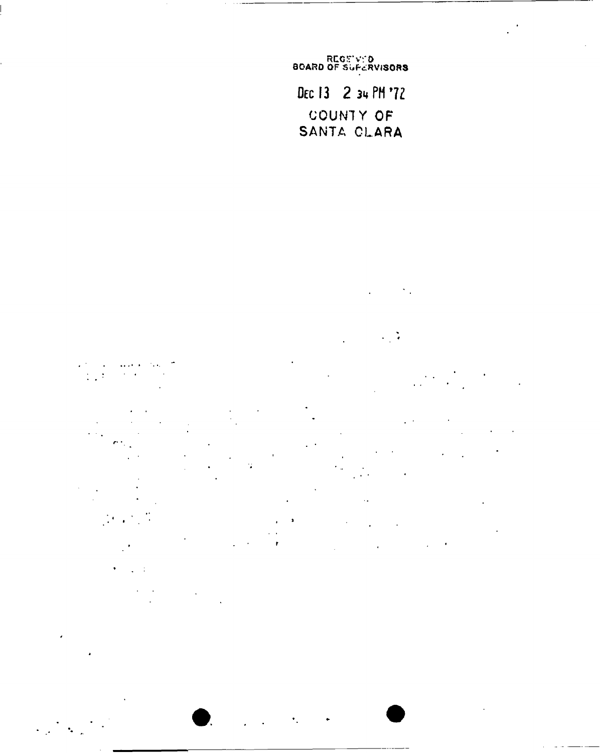REGEWED<br>BOARD OF SUFERVISORS DEC 13 2 34 PM '72 COUNTY OF SANTA CLARA

 $\mathcal{S}_{\mathcal{A}}$ 

 $\mathcal{L}_{\mathcal{A}}$ 

 $\sim$  $\frac{1}{2}$ L.  $\ddot{\phantom{a}}$ 

 $\ddot{\phantom{1}}$ 

 $\epsilon$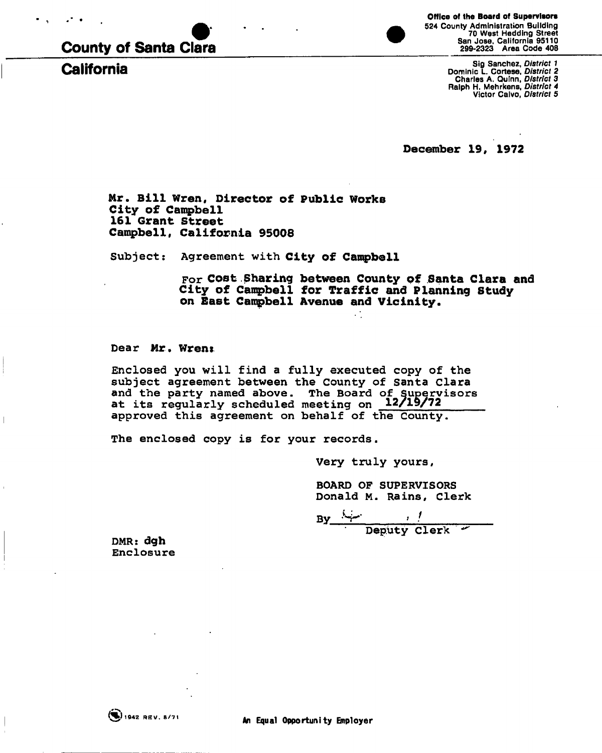

**California** 



Sig Sanchez, *District 1*  Dominic L. Cortese, *District 2*  Charles A. Qulnn, *District 3*  Ralph H. Mehrkens, *District 4*  Victor Calvo, *District 5* 

**December 19# 1972** 

**Mr. Bill Wren, Director of Public Works City of Campbell 161 Grant Street**  Campbell, California 95008

Subject: Agreement with **City of Campbell** 

For **Cost Sharing between County** of **Santa Clara and City of Campbell for Traffic and Planning Study on Bast Campbell Avenue and Vicinity.** 

Dear Mr. Wrens

Enclosed you will find a fully executed copy of the subject agreement between the County of Santa Clara and the party named above. The Board of Supervisors at its regularly scheduled meeting on **12/19/72**  approved this agreement on behalf of the County.

The enclosed copy is for your records.

Very truly yours,

BOARD OF SUPERVISORS Donald M. Rains, Clerk

**By**  Deputy Clerk

DMR: dgh Enclosure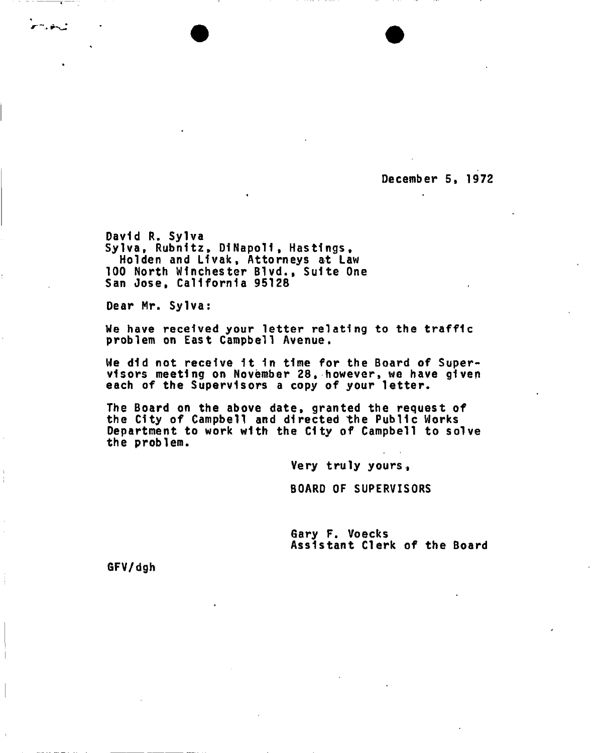**December 5, 1972** 

**David R. Sylva Sylva, Rubnltz, DINapoll, Hastings, Hoi den and L1vak, Attorneys at Law 100 North Winchester Blvd., Suite One San Jose, California 95128** 

**Dear Mr. Sylva:** 

n. aktor

**We have received your letter relating to the traffic problem on East Campbell Avenue.** 

**We did not receive It 1n time for the Board of Supervisors meeting on November 28, however, we have given each of the Supervisors a copy of your letter.** 

**The Board on the above date, granted the request of the City of Campbell and directed the Public Works Department to work with the City of Campbell to solve the problem.** 

**Very truly yours ,** 

**BOARD OF SUPERVISORS** 

**Gary F. Voecks Assistant Clerk of the Board** 

**GFV/dgh**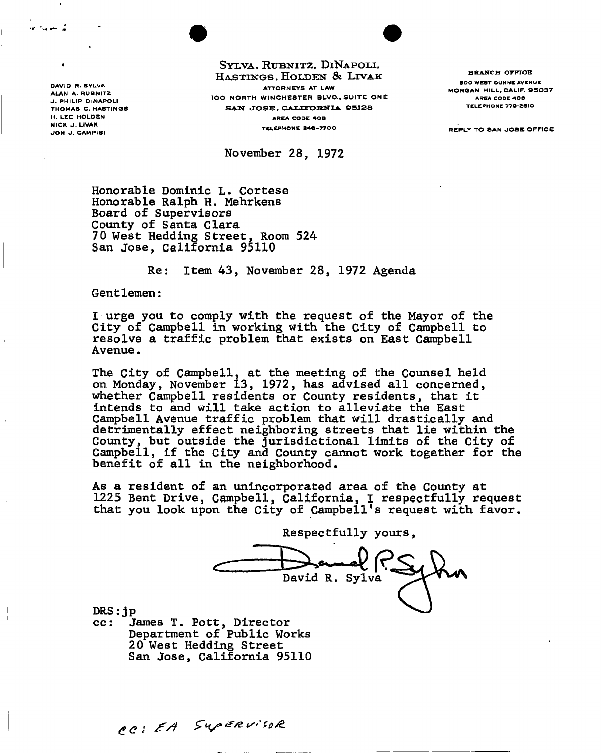**J . PHILI P DiNAPOL I THOMA S C . HASTING S DAVID R. SYLVA ALA N A . RUBNIT Z H. LEE HOLDEN NIC K J . LIVAK** 

 $S$ YLVA, RUBNITZ, DINAPOLI, **HASTINGS. HOLDEN & LIVAK ATTORNEY S A T LA W**  lOO NORTH WINCHESTER BLVD., SUITE ONE SAN JOSE, CALIFORNIA 05128 **AREA CODE 40 8 TELEPHON E 240-770 0 REPL Y T O SA N JOS E OFFIC E J O N J . CA M PI S I** 

**November 28, 1972** 

**BRANCH OFFICE** 0OO WEST DUNNE AVENUE **MORGA N HILL , CALIF .** S5037 AREA CODE 400 TELEPHONE 779-2810

**Honorable Dominic L. Cortese Honorable Ralph H. Mehrkens Board of Supervisors County of Santa Clara 70 West Hedding Street, Room 524 San Jose, California 95110** 

**Re: Item 43, November 28, 1972 Agenda** 

**Gentlemen:** 

**I urge you to comply with the request of the Mayor of the City of Campbell in working with the City of Campbell to resolve a traffic problem that exists on East Campbell Avenue.** 

**The City of Campbell, at the meeting of the Counsel held on Monday, November 13, 1972, has advised all concerned, whether Campbell residents or County residents, that it intends to and will take action to alleviate the East Campbell Avenue traffic problem that will drastically and detrimentally effect neighboring streets that lie within the County, but outside the jurisdictional limits of the City of Campbell, if the City and County cannot work together for the benefit of all in the neighborhood.** 

**As a resident of an unincorporated area of the County at 1225 Bent Drive, Campbell, California, I respectfully request that you look upon the City of Campbell's request with favor.** 

**Respectfully yours** David R. Sylva

**DRS:j p cc: James T. Pott, Director Department of Public Works 20 West Hedding Street San Jose, California 95110** 

CC: EA Supervisor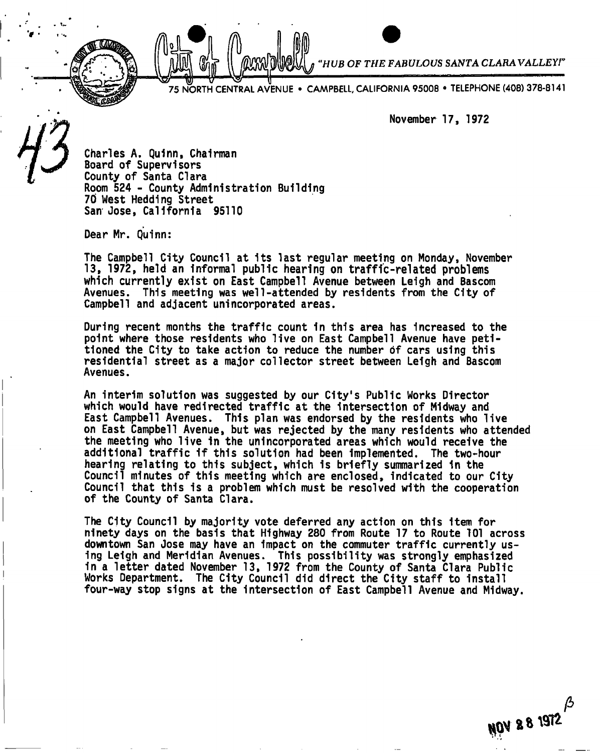*HUB OF THE FABULOUS SANTA CLARA VALLEY!'* 

75 NORTH CENTRAL AVENUE • CAMPBELL, CALIFORNIA 95008 • TELEPHONE (408) 378-8141

**November 17, 1972** 

**Charles A. Qulnn, Chairman Board of Supervisors County of Santa Clara Room 524 - County Administration Building 70 West Heddlng Street San Jose, California 95110** 

**Dear Mr. Quinn:** 

**The Campbell City Council at its last regular meeting on Monday, November 13, 1972, held an Informal public hearing on traffic-related problems which currently exist on East Campbell Avenue between Leigh and Bascom Avenues. This meeting was well-attended by residents from the City of Campbell and adjacent unincorporated areas.** 

**During recent months the traffic count in this area has increased to the point where those residents who live on East Campbell Avenue have petitioned the City to take action to reduce the number of cars using this residential street as a major collector street between Leigh and Bascom Avenues.** 

**An interim solution was suggested by our City's Public Works Director which would have redirected traffic at the intersection of Midway and East Campbell Avenues. This plan was endorsed by the residents who live on East Campbell Avenue, but was rejected by the many residents who attended the meeting who live in the unincorporated areas which would receive the additional traffic if this solution had been Implemented. The two-hour hearing relating to this subject, which is briefly summarized in the Council minutes of this meeting which are enclosed, indicated to our City Council that this is a problem which must be resolved with the cooperation of the County of Santa Clara.** 

**The City Council by majority vote deferred any action on this item for ninety days on the basis that Highway 280 from Route 17 to Route 101 across downtown San Jose may have an impact on the commuter traffic currently using Leigh and Meridian Avenues. This possibility was strongly emphasized 1n a letter dated November 13, 1972 from the County of Santa Clara Public Works Department. The City Council did direct the City staff to install four-way stop signs at the intersection of East Campbell Avenue and Midway.** 

P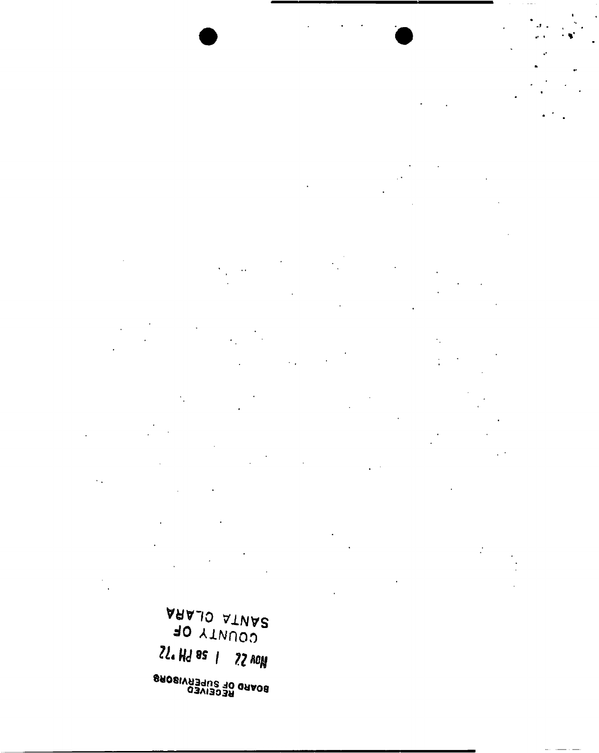AD YTWUOD  $2l$ . Hd as 1  $22$  vol BOARD OF SUPERVI**SORS**<br>BOARD OF SUPERVI**SORS**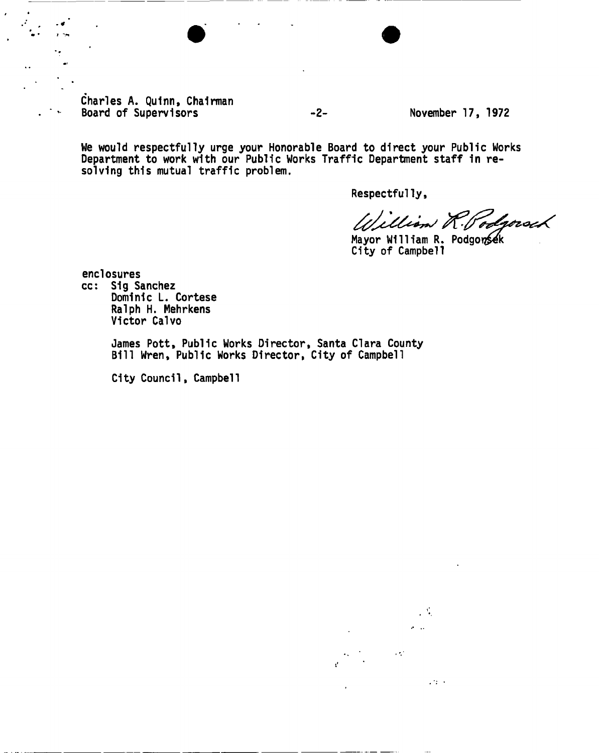**Charles A. Qulnn, Chairman**  Board of Supervisors **November 17, 1972** 

**We would respectfully urge your Honorable Board to direct your Public Works Department to work with our Public Works Traffic Department staff In resolving this mutual traffic problem.** 

**Respectfully,** 

William R. odroroch

Mayor William R. Podgonsek **City of Campbell** 

**enclosures** 

**cc: Sig Sanchez Dominic L. Cortese Ralph H. Mehrkens Victor Calvo** 

> **James Pott, Public Works Director, Santa Clara County Bill Wren, Public Works Director, City of Campbell**

**City Council, Campbell** 

 $\mathcal{L}^{\text{max}}$  $\sigma_{\rm{max}}$  $\sim 10^{11}$ 

 $\mathcal{L}(2)$  .  $\mathcal{L}$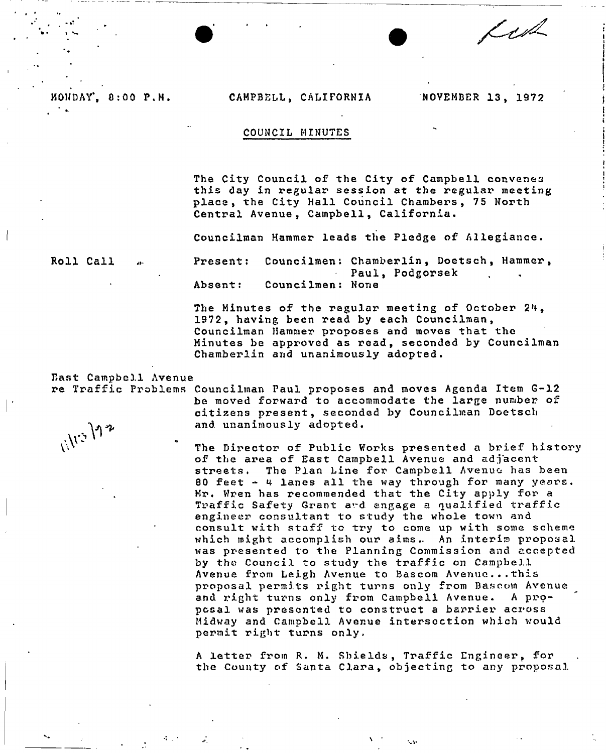#### MONDAY, 8:00 P.M. CAMPBELL, CALIFORNIA NOVEMBER 13, 1972

fert

#### COUNCIL MINUTES

The City Council of the City of Campbell convenes this day in regular session at the regular meeting place, the City Hall Council Chambers, 75 North Central Avenue, Campbell, California.

Councilman Hammer leads the Pledge of Allegiance .

Roll Call

Present: Councilmen: Chamberlin, Doetsch, Hammer, Paul, Podgorsek  $\mathcal{L}^{\text{max}}$ Absent: Councilmen: None

The Minutes of the regular meeting of October 24, 1972 , having been read by each Councilman , Councilman Hammer proposes and moves that the Minutes be approved as read, seconded by Councilman Chamberlin and unanimously adopted.

East Campbell Avenue

re Traffic Problems Councilman Paul proposes and moves Agenda Item G-12 be moved forward to accommodate the large number of citizens present, seconded by Councilman Doetsch and unanimously adopted .

> The Director of Public Works presented a brief history of the area of East Campbell Avenue and adjacent streets. The Plan Line for Campbell Avenue has been 80 feet - 4 lanes all the way through for many years. Mr. Wren has recommended that the City apply for a Traffic Safety Grant ard engage a qualified traffic engineer consultant to study the whole town and consult with staff tc try to come up with some scheme which might accomplish our aims. An interim proposal was presented to the Planning Commission and accepted by the Council to study the traffic on Campbell Avenue from Leigh Avenue to Bascom Avenue...this proposal permits right turns only from Bascom Avenue and right turns only from Campbell Avenue. A proposal was presented to construct a barrier across Midway and Campbell Avenue intersection which would permit right turns only»

A letter from R. M. Shields, Traffic Engineer, for the County of Santa Clara, objecting to any proposal

1.50

11/13/12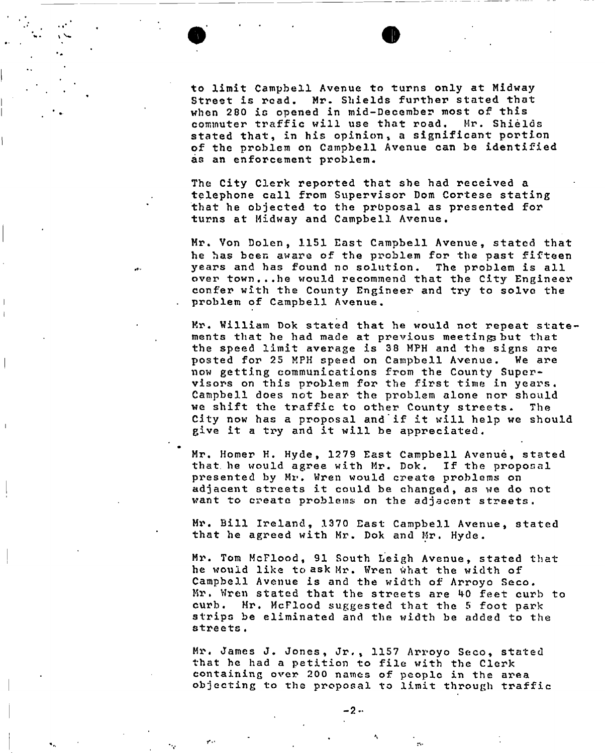to limit Campbell Avenue to turns only at Midway Street is read. Mr. Shields further stated that when 280 is opened in mid-December most of this commuter traffic will use that road. Mr. Shields stated that, in his opinion, a significant portion of the problem on Campbell Avenue can be identified as an enforcement problem.

The City Clerk reported that she had received a telephone call from Supervisor Dom Cortese stating that he objected to the proposal as presented for turns at Midway and Campbell Avenue.

Mr. Von Dolen, 1151 East Campbell Avenue, stated that he has been aware of the problem for the past fifteen years and has found no solution. The problem is all over town...he would recommend that the City Engineer confer with the County Engineer and try to solve the problem of Campbell Avenue.

Mr. William Dok stated that he would not repeat statements that he had made at previous meetings but that the speed limit average is 38 MPH and the signs are posted for 25 MPH speed on Campbell Avenue. We are now getting communications from the County Supervisors on this problem for the first time in years , Campbell does not bear the problem alone nor should we shift the traffic to other County streets. The City now has a proposal and if it will help we should give it a try and it will be appreciated.

Mr. Homer H. Hyde, 1279 East Campbell Avenue, stated that he would agree with Mr. Dok. If the proposal presented by Mr. Wren would create problems on adjacent streets it could be changed, as we do not want to create problems on the adjacent streets .

Mr. Bill Ireland, 1370 East Campbell Avenue, stated that he agreed with Mr. Dok and Mr. Hyde.

Mr. Tom McFlood, 91 South Leigh Avenue, stated that he would like to ask Mr. Wren what the width of Campbell Avenue is and the width of Arroyo Seco . Mr. Wren stated that the streets are 40 feet curb to curb. Mr. McFlood suggested that the 5 foot park strips be eliminated and the width be added to the streets .

Mr. James J. Jones, Jr., 1157 Arroyo Seco, stated that he had a petition to file with the Clerk containing over 200 names of people in the area objecting to the proposal to limit through traffic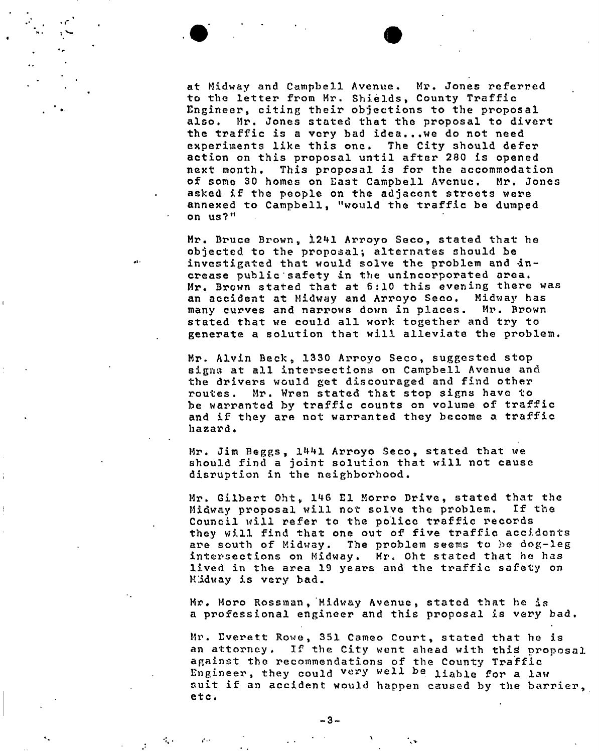at Midway and Campbell Avenue. Mr. Jones referred to the letter from Mr. Shields, County Traffic Engineer, citing their objections to the proposal also. Mr. Jones stated that the proposal to divert the traffic is a very bad idea...we do not need experiments like this one. The City should defer action on this proposal until after 280 is opened next month. This proposal is for the accommodation of some 30 homes on East Campbell Avenue. Mr. Jones asked if the people on the adjacent streets were annexed to Campbell, "would the traffic be dumped on us?"

Mr. Bruce Brown, 1241 Arroyo Seco, stated that he objected to the proposal; alternates should be investigated that would solve the problem and  $in$ crease public safety in the unincorporated area. Mr. Brown stated that at 6:10 this evening there was an accident at Midway and Arroyo Seco. Midway has many curves and narrows down in places. Mr. Brown stated that we could all work together and try to generate a solution that will alleviate the problem.

Mr. Alvin Beck, 1330 Arroyo Seco, suggested stop signs at all intersections on Campbell Avenue and the drivers would get discouraged and find other routes. Mr. Wren stated that stop signs have to be warranted by traffic counts on volume of traffic and if they are not warranted they become a traffic hazard .

Mr. Jim Beggs, 1441 Arroyo Seco, stated that we should find a joint solution that will not cause disruption in the neighborhood .

Mr. Gilbert Oht, 146 El Morro Drive, stated that the Midway proposal will not solve the problem. If the Council will refer to the police traffic records they will find that one out of five traffic accidents are south of Midway. The problem seems to be dog-leg intersections on Midway. Mr. Oht stated that he has lived in the area 19 years and the traffic safety on Midway is very bad .

Mr. Moro Rossman, Midway Avenue, stated that he is a professional engineer and this proposal is very bad.

Mr. Everett Rowe, 351 Cameo Court, stated that he is an attorney. If the City went ahead with this proposal against the recommendations of the County Traffic Engineer, they could very well be liable for a law suit if an accident would happen caused by the barrier, etc .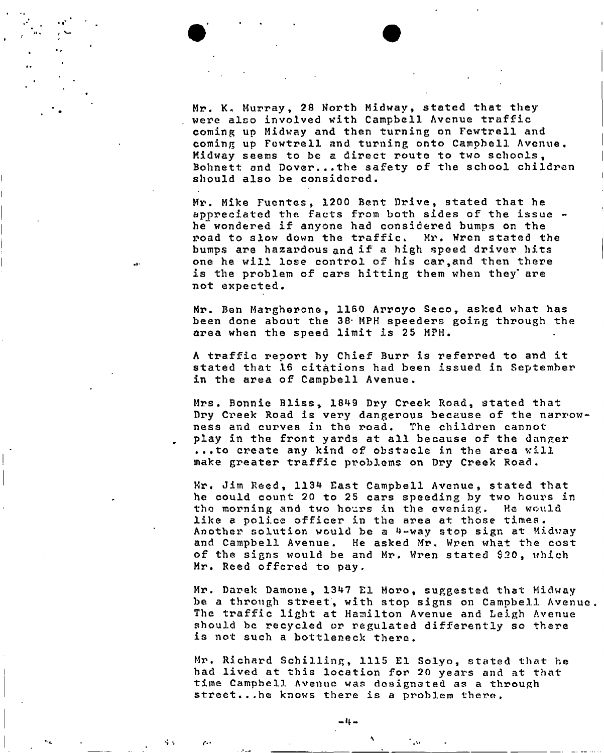Mr. K. Murray, 28 North Midway, stated that they were also involved with Campbell Avenue traffic coming up Midway and then turning on Fewtrell and coming up Fewtrell and turning onto Campbell Avenue. Midway seems to be a direct route to two schools , Bohnett and Dover...the safety of the school children should also be considered .

Mr. Mike Fuentes, 1200 Bent Drive, stated that he appreciated the facts from both sides of the issue he"wondered if anyone had considered bumps on the road to slow down the traffic. Mr. Wren stated the bumps are hazardous and if a high speed driver hits one he will lose control of his car, and then there is the problem of cars hitting them when they are n ot expected .

Mr. Ben Margherone, 1160 Arroyo Seco, asked what has been done about the 38- MPH speeders going through the area when the speed limit is 25 MPH.

A traffic report by Chief Burr is referred to and it stated that 16 citations had been issued in September in the area of Campbell Avenue.

Mrs. Bonnie Bliss, 1849 Dry Creek Road, stated that Dry Creek Road is very dangerous because of the narrowness and curves in the road. The children cannot play in the front yards at all because of the danger ...to create any kind of obstacle in the area will make greater traffic problems on Dry Creek Road .

Mr. Jim Reed, 1134 East Campbell Avenue, stated that he could count 20 to 25 cars speeding by two hours in the morning and two hours in the evening. He would like a police officer in the area at those times . Another solution would be a 4-way stop sign at Midway and Campbell Avenue. He asked Mr. Wren what the cost of the signs would be and Mr. Wren stated \$20, which Mr. Reed offered to pay.

Mr. Darek Damone, 1347 El Moro, suggested that Midway be a through street, with stop signs on Campbell Avenue. The traffic light at Hamilton Avenue and Leigh Avenue should be recycled or regulated differently so there is not such a bottleneck there .

Mr. Richard Schilling, 1115 El Solyo, stated that he had lived at this location for 20 years and at that time Campbell Avenue was designated as a through street...he knows there is a problem there.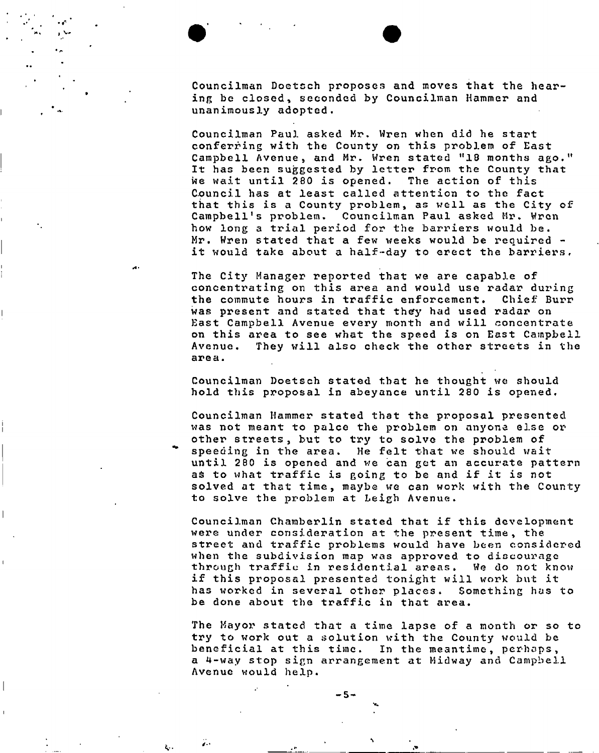Councilman Doetcch proposes and moves that the hearing be closed, seconded by Councilman Hammer and unanimously adopted .

Councilman Paul asked Mr. Wren when did he start conferring with the County on this problem of East Campbell Avenue, and Mr. Wren stated "18 months ago." It has been suggested by letter from the County that we wait until 280 is opened. The action of this Council has at least called attention to the fact that this is a County problem, as well as the City of Campbell's problem. Councilman Paul asked Mr. Wren how long a trial period for the barriers would be . Mr. Wren stated that a few weeks would be required it would take about a half-day to erect the barriers.

The City Manager reported that we are capable of concentrating on this area and would use radar during the commute hours in traffic enforcement. Chief Burr was present and stated that they had used radar on East Campbell Avenue every month and will concentrate on this area to see what the speed is on East Campbell Avenue. They will also check the other streets in the area .

Councilman Doetsch stated that he thought we should hold this proposal in abeyance until 280 is opened.

Councilman Hammer stated that the proposal presented was not meant to palce the problem on anyone else or other streets , but to try to solve the problem of speeding in the area. He felt that we should wait until 280 is opened and we can get an accurate pattern as to what traffic is going to be and if it is not solved at that time, maybe we can work with the County to solve the problem at Leigh Avenue .

Councilman Chamberlin stated that if this development were under consideration at the present time , the street and traffic problems would have been considered when the subdivision map was approved to discourage through traffic in residential areas. We do not know if this proposal presented tonight will work but it has worked in several other places. Something has to be done about the traffic in that area.

The Mayor stated that a time lapse of a month or so to try to work out a solution with the County would be beneficial at this time. In the meantime, perhaps, a 4-way stop sign arrangement at Midway and Campbell Avenue would help.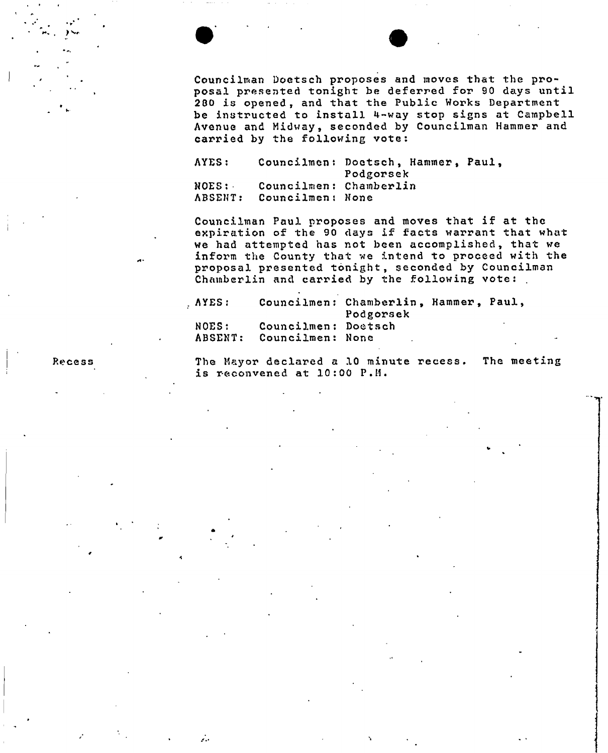Councilman Doetsch proposes and moves that the proposal presented tonight be deferred for 90 days until 2 80 is opened , and that the Public Works Department be instructed to install 4-way stop signs at Campbell Avenue and Midway, seconded by Councilman Hammer and carried by the following vote:

AYES : NOES : ABSENT: Councilmen: Doetsch, Hammer, Paul, Councilmen: Chamberlin Councilmen : None Podgorsek

Councilman Paul proposes and moves that if at the expiration of the 90 days if facts warrant that what we had attempted has not been accomplished, that we inform the County that we intend to proceed with the proposal presented tonight, seconded by Councilman Chamberlin and carried by the following vote: .

AYES: Councilmen: Chamberlin, Hammer, Paul, NOES: ABSENT Councilmen : Doetsch Councilmen : None Podgorsek

1

...

Recess **The Mayor declared a 10 minute recess.** The meeting is reconvened at  $10:00$   $P.M.$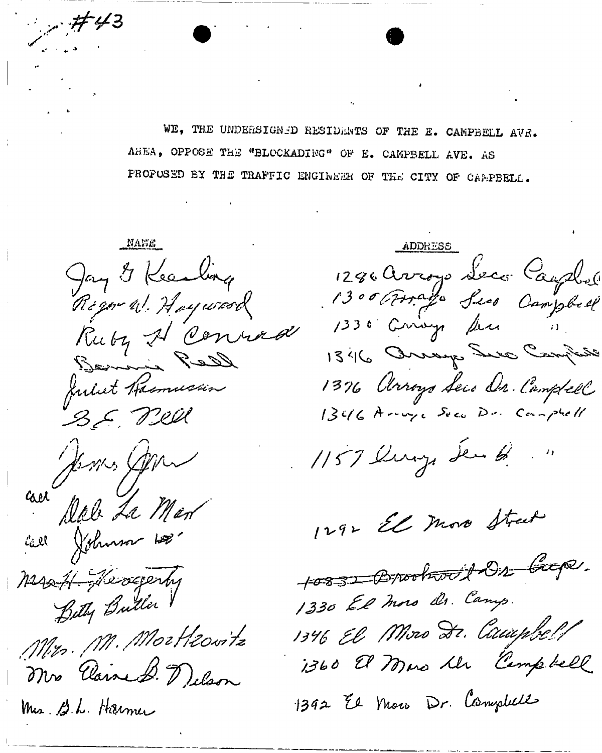WE, THE UNDERSIGNED RESIDENTS OF THE E. CAMPBELL AVE. AREA, OPPOSE THE "BLOCKADING" OF E. CAMPBELL AVE. AS PROPUSED BY THE TRAFFIC ENGINEER OF THE CITY OF CAMPBELL.

MANE Jay & Kearling Regor W. Hoyword Ruby A Conrad<br>Semain Reed B.E. Pieu au Jemes Gen Call Johnson 100 Mart Heogenhy Bity Butter Mrs. M. Mortleovitz Mrs Claire B. Delson Mis. B.L. Harmer

 $7743$ 

ADDRESS 1286 Avroye Seco Caupbell 1330 Crivys Ser  $\sim 30\%$ 1346 Orrage Ser Campine 1376 Arroys Seco Dr. Campbell 1346 Arraya Seco Dr. Comptell 1157 lung de 13 ...

1292 El moro Street

10831 Brookworth Dr Crop. 1330 El moro Dr. Canys. 1346 El Moro Dr. Caupbell 1360 El Mus le Campbell

1392 El Maro Dr. Campbell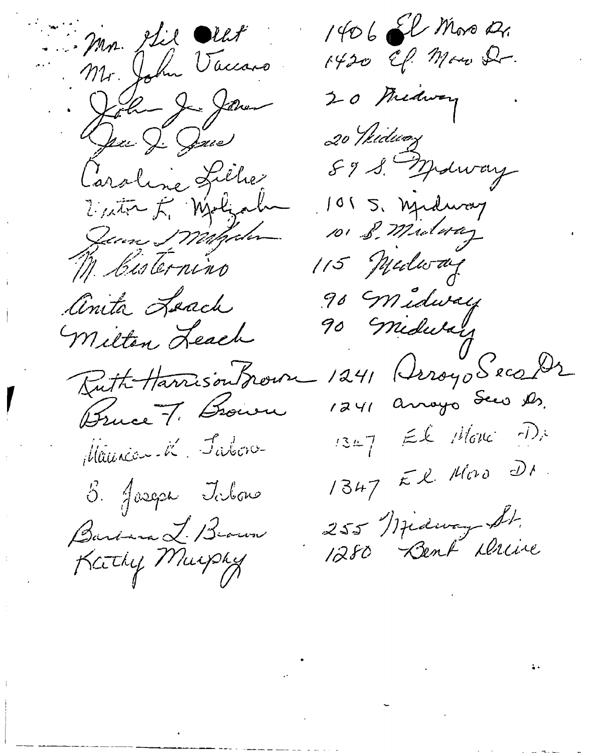Mr. Stil Ollit Mr. John Vaccaro Sola Jednes Den J. Jones Laroline Lillier Victor F. Walzah June Margolen M. Cisternino Cinita Loach Milton Leach Butte Harrison Brown Bruce 7. Brown Maurica-K Jabon 5. Jaseph Jolone Barbara L. Brown Kathy Murphy

1406 El Moro 21. 1420 EP. Maro Dr. 20 Midway 20 Widway 89 S. Malway 1015, njednost 115 Medican 90 Midway 90 Midulary 1241 (Irroyo Seco Dr 1241 anoyo Seco Ds.  $13.47$  El Monc De 1347 El Moro DI 255 Midway St.<br>1280 Bent Derive

 $\label{eq:2.1} \frac{1}{2}\sum_{i=1}^n\frac{1}{2}\sum_{i=1}^n\frac{1}{2}\sum_{i=1}^n\frac{1}{2}\sum_{i=1}^n\frac{1}{2}\sum_{i=1}^n\frac{1}{2}\sum_{i=1}^n\frac{1}{2}\sum_{i=1}^n\frac{1}{2}\sum_{i=1}^n\frac{1}{2}\sum_{i=1}^n\frac{1}{2}\sum_{i=1}^n\frac{1}{2}\sum_{i=1}^n\frac{1}{2}\sum_{i=1}^n\frac{1}{2}\sum_{i=1}^n\frac{1}{2}\sum_{i=1}^n\$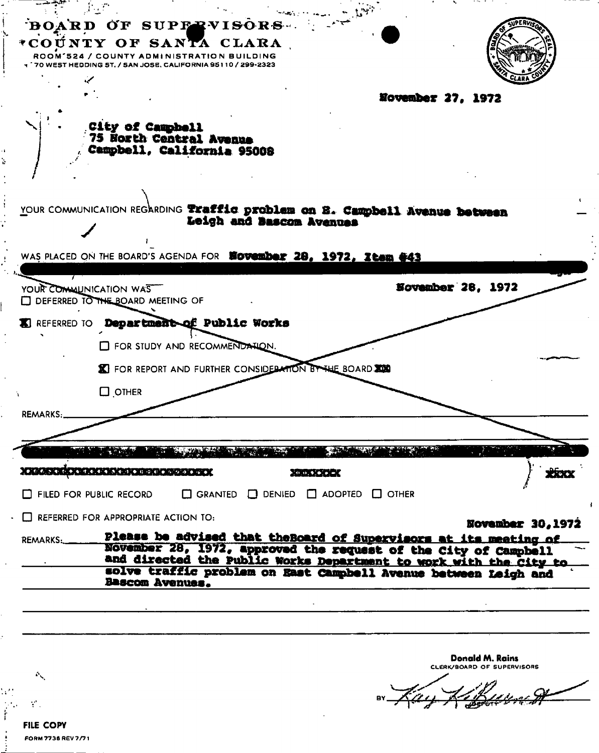| BOARD OF SUPPRVISORS                                                                                                                 |  |
|--------------------------------------------------------------------------------------------------------------------------------------|--|
| *COÚNTY OF SANTA CLARA<br>ROOM'524 / COUNTY ADMINISTRATION BUILDING<br>70 WEST HEDDING 5T, / SAN JOSE, CALIFORNIA 95110 / 299-2323   |  |
|                                                                                                                                      |  |
| November 27, 1972                                                                                                                    |  |
| City of Campbell<br>75 North Central Avenue<br>Campbell, California 95008                                                            |  |
|                                                                                                                                      |  |
| YOUR COMMUNICATION REGARDING Traffic problem on B. Campbell Avenue between<br>Leigh and Sascon Avenues                               |  |
| WAS PLACED ON THE BOARD'S AGENDA FOR <b>NOVEMber 28, 1972, Item #43</b>                                                              |  |
| November 28, 1972<br>YOUR COMMUNICATION WAS                                                                                          |  |
| DEFERRED TO THE BOARD MEETING OF                                                                                                     |  |
| REFERRED TO Department of Public Works                                                                                               |  |
| FOR STUDY AND RECOMMENDATION.                                                                                                        |  |
| <b>X</b> FOR REPORT AND FURTHER CONSIDERATION BY THE BOARD                                                                           |  |
| $\Box$ OTHER<br>$\mathbf{A}$                                                                                                         |  |
| REMARKS:                                                                                                                             |  |
|                                                                                                                                      |  |
|                                                                                                                                      |  |
| <b>MAQUAR AJ O BE GO AZ DO BE</b><br>K) (r. ju, † j⊕) (r. j=) (                                                                      |  |
| FILED FOR PUBLIC RECORD<br>$\Box$ GRANTED<br>$\Box$ DENIED $\Box$ ADOPTED $\Box$ OTHER                                               |  |
| $\Box$ REFERRED FOR APPROPRIATE ACTION TO:<br>November 30, 1972                                                                      |  |
| Please be advised that the Board of Supervisors at its meeting of<br>REMARKS:                                                        |  |
| November 28, 1972, approved the request of the City of Campbell<br>and directed the Public Works Department to work with the City to |  |
| solve traffic problem on East Campbell Avenue between Leigh and<br>Bascom Avenues.                                                   |  |
|                                                                                                                                      |  |
|                                                                                                                                      |  |
|                                                                                                                                      |  |
| Donald M. Rains<br>CLERK/BOARD OF SUPERVISORS<br>$\mathcal{O}_{\mathcal{N}}$                                                         |  |
|                                                                                                                                      |  |
|                                                                                                                                      |  |
| <b>FILE COPY</b>                                                                                                                     |  |

à

ł